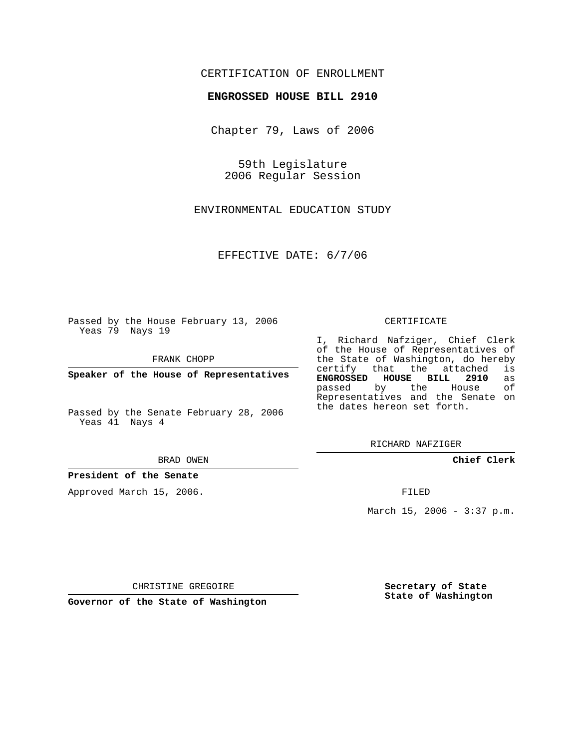## CERTIFICATION OF ENROLLMENT

## **ENGROSSED HOUSE BILL 2910**

Chapter 79, Laws of 2006

59th Legislature 2006 Regular Session

ENVIRONMENTAL EDUCATION STUDY

EFFECTIVE DATE: 6/7/06

Passed by the House February 13, 2006 Yeas 79 Nays 19

FRANK CHOPP

**Speaker of the House of Representatives**

Passed by the Senate February 28, 2006 Yeas 41 Nays 4

BRAD OWEN

**President of the Senate**

Approved March 15, 2006.

CERTIFICATE

I, Richard Nafziger, Chief Clerk of the House of Representatives of the State of Washington, do hereby<br>certify that the attached is certify that the attached **ENGROSSED HOUSE BILL 2910** as passed by the House Representatives and the Senate on the dates hereon set forth.

RICHARD NAFZIGER

**Chief Clerk**

FILED

March 15, 2006 - 3:37 p.m.

CHRISTINE GREGOIRE

**Governor of the State of Washington**

**Secretary of State State of Washington**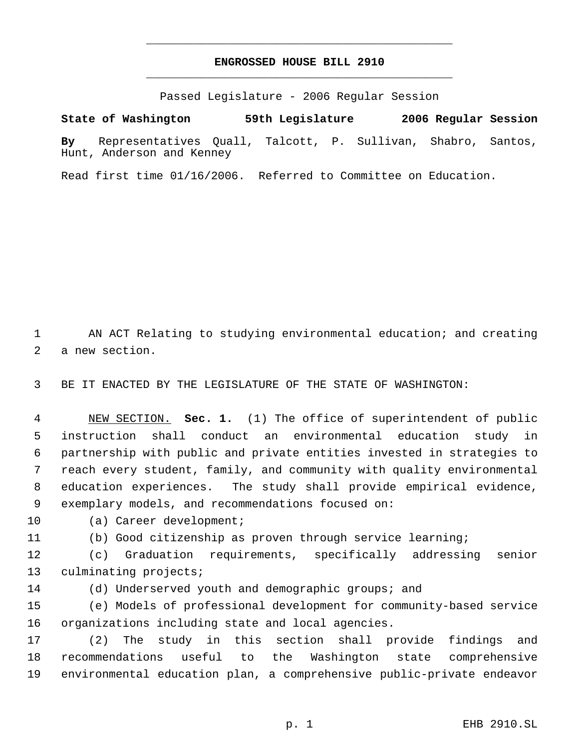## **ENGROSSED HOUSE BILL 2910** \_\_\_\_\_\_\_\_\_\_\_\_\_\_\_\_\_\_\_\_\_\_\_\_\_\_\_\_\_\_\_\_\_\_\_\_\_\_\_\_\_\_\_\_\_

\_\_\_\_\_\_\_\_\_\_\_\_\_\_\_\_\_\_\_\_\_\_\_\_\_\_\_\_\_\_\_\_\_\_\_\_\_\_\_\_\_\_\_\_\_

Passed Legislature - 2006 Regular Session

**State of Washington 59th Legislature 2006 Regular Session**

**By** Representatives Quall, Talcott, P. Sullivan, Shabro, Santos, Hunt, Anderson and Kenney

Read first time 01/16/2006. Referred to Committee on Education.

 AN ACT Relating to studying environmental education; and creating a new section.

BE IT ENACTED BY THE LEGISLATURE OF THE STATE OF WASHINGTON:

 NEW SECTION. **Sec. 1.** (1) The office of superintendent of public instruction shall conduct an environmental education study in partnership with public and private entities invested in strategies to reach every student, family, and community with quality environmental education experiences. The study shall provide empirical evidence, exemplary models, and recommendations focused on:

(a) Career development;

(b) Good citizenship as proven through service learning;

 (c) Graduation requirements, specifically addressing senior culminating projects;

(d) Underserved youth and demographic groups; and

 (e) Models of professional development for community-based service organizations including state and local agencies.

 (2) The study in this section shall provide findings and recommendations useful to the Washington state comprehensive environmental education plan, a comprehensive public-private endeavor